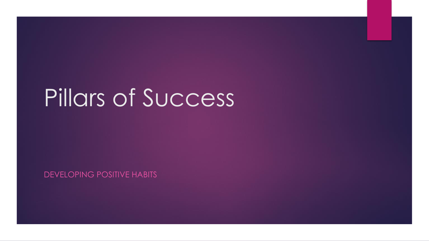# Pillars of Success

DEVELOPING POSITIVE HABITS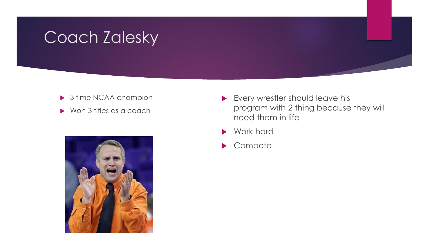#### Coach Zalesky

- ▶ 3 time NCAA champion
- ▶ Won 3 titles as a coach



- **Every wrestler should leave his** program with 2 thing because they will need them in life
- Work hard
- Compete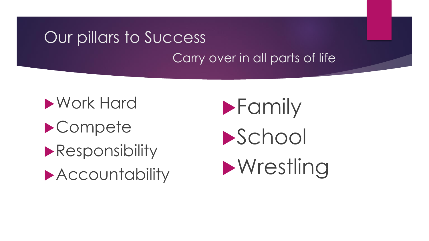### Our pillars to Success Carry over in all parts of life

Work Hard ▶ Compete **Responsibility Accountability** 

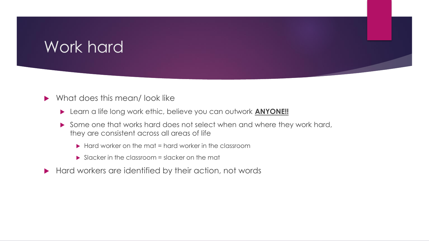#### Work hard

- What does this mean/ look like
	- Learn a life long work ethic, believe you can outwork **ANYONE!!**
	- Some one that works hard does not select when and where they work hard, they are consistent across all areas of life
		- $\blacktriangleright$  Hard worker on the mat = hard worker in the classroom
		- $\triangleright$  Slacker in the classroom = slacker on the mat
- Hard workers are identified by their action, not words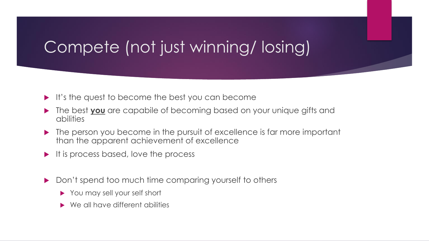### Compete (not just winning/ losing)

- $\blacktriangleright$  It's the quest to become the best you can become
- The best **you** are capabile of becoming based on your unique gifts and abilities
- The person you become in the pursuit of excellence is far more important than the apparent achievement of excellence
- $\blacktriangleright$  It is process based, love the process
- Don't spend too much time comparing yourself to others
	- You may sell your self short
	- ▶ We all have different abilities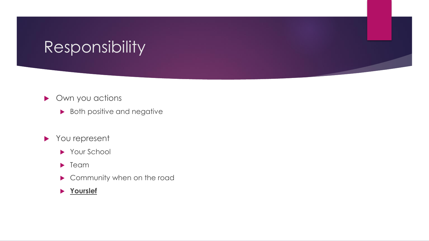#### Responsibility

- ▶ Own you actions
	- **Both positive and negative**
- You represent
	- ▶ Your School
	- **F** Team
	- Community when on the road
	- **Yourslef**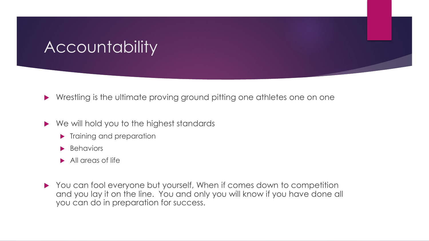#### Accountability

▶ Wrestling is the ultimate proving ground pitting one athletes one on one

- ▶ We will hold you to the highest standards
	- **Training and preparation**
	- **Behaviors**
	- All areas of life
- You can fool everyone but yourself, When if comes down to competition and you lay it on the line. You and only you will know if you have done all you can do in preparation for success.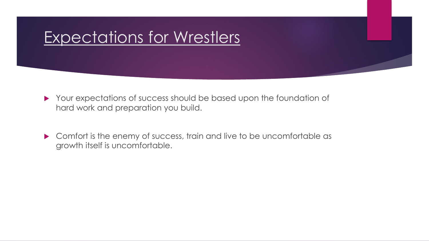#### Expectations for Wrestlers

- Your expectations of success should be based upon the foundation of hard work and preparation you build.
- ▶ Comfort is the enemy of success, train and live to be uncomfortable as growth itself is uncomfortable.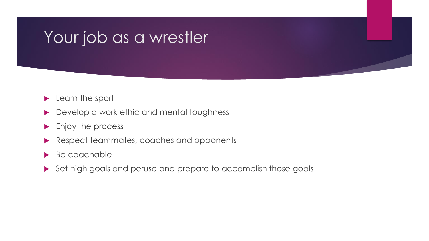#### Your job as a wrestler

- **Learn the sport**
- Develop a work ethic and mental toughness
- **Enjoy the process**
- Respect teammates, coaches and opponents
- Be coachable
- Set high goals and peruse and prepare to accomplish those goals